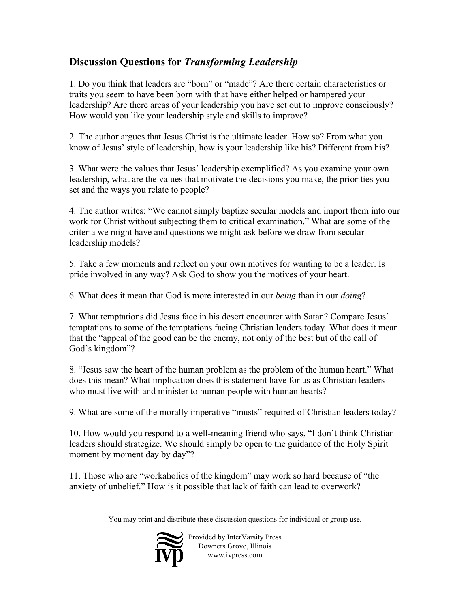## **Discussion Questions for** *Transforming Leadership*

1. Do you think that leaders are "born" or "made"? Are there certain characteristics or traits you seem to have been born with that have either helped or hampered your leadership? Are there areas of your leadership you have set out to improve consciously? How would you like your leadership style and skills to improve?

2. The author argues that Jesus Christ is the ultimate leader. How so? From what you know of Jesus' style of leadership, how is your leadership like his? Different from his?

3. What were the values that Jesus' leadership exemplified? As you examine your own leadership, what are the values that motivate the decisions you make, the priorities you set and the ways you relate to people?

4. The author writes: "We cannot simply baptize secular models and import them into our work for Christ without subjecting them to critical examination." What are some of the criteria we might have and questions we might ask before we draw from secular leadership models?

5. Take a few moments and reflect on your own motives for wanting to be a leader. Is pride involved in any way? Ask God to show you the motives of your heart.

6. What does it mean that God is more interested in our *being* than in our *doing*?

7. What temptations did Jesus face in his desert encounter with Satan? Compare Jesus' temptations to some of the temptations facing Christian leaders today. What does it mean that the "appeal of the good can be the enemy, not only of the best but of the call of God's kingdom"?

8. "Jesus saw the heart of the human problem as the problem of the human heart." What does this mean? What implication does this statement have for us as Christian leaders who must live with and minister to human people with human hearts?

9. What are some of the morally imperative "musts" required of Christian leaders today?

10. How would you respond to a well-meaning friend who says, "I don't think Christian leaders should strategize. We should simply be open to the guidance of the Holy Spirit moment by moment day by day"?

11. Those who are "workaholics of the kingdom" may work so hard because of "the anxiety of unbelief." How is it possible that lack of faith can lead to overwork?

You may print and distribute these discussion questions for individual or group use.



Provided by InterVarsity Press Downers Grove, Illinois www.ivpress.com